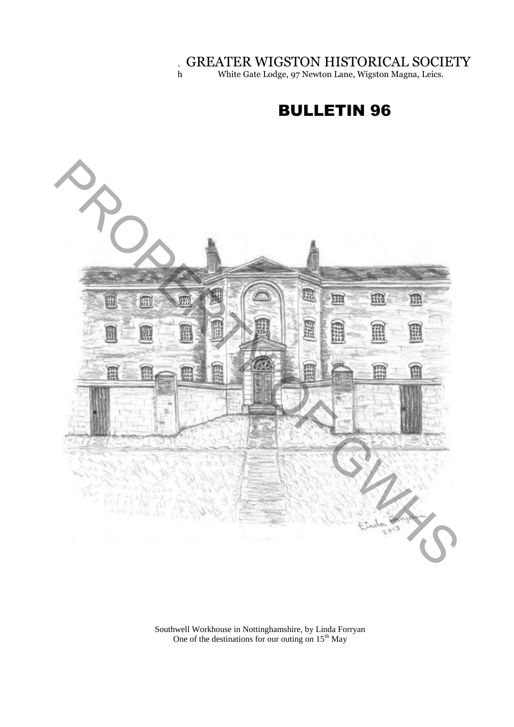GREATER WIGSTON HISTORICAL SOCIETY

h White Gate Lodge, 97 Newton Lane, Wigston Magna, Leics.

# BULLETIN 96



Southwell Workhouse in Nottinghamshire, by Linda Forryan One of the destinations for our outing on  $15<sup>th</sup>$  May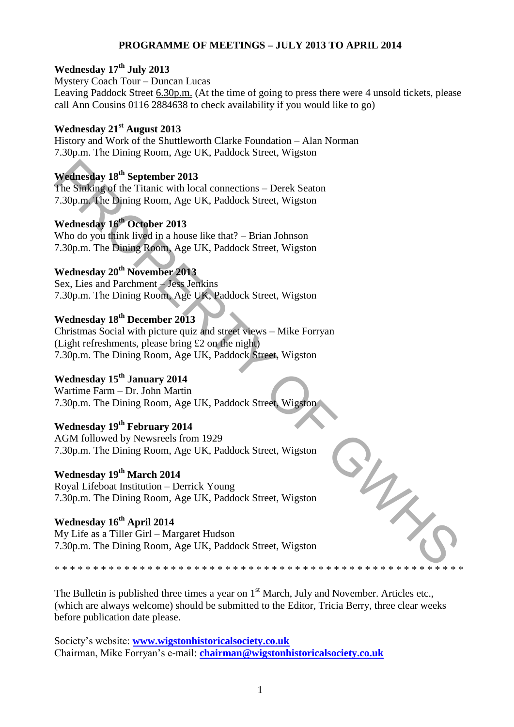#### **PROGRAMME OF MEETINGS – JULY 2013 TO APRIL 2014**

### **Wednesday 17th July 2013**

Mystery Coach Tour – Duncan Lucas Leaving Paddock Street 6.30p.m. (At the time of going to press there were 4 unsold tickets, please call Ann Cousins 0116 2884638 to check availability if you would like to go)

#### **Wednesday 21st August 2013**

History and Work of the Shuttleworth Clarke Foundation – Alan Norman 7.30p.m. The Dining Room, Age UK, Paddock Street, Wigston

#### **Wednesday 18th September 2013**

The Sinking of the Titanic with local connections – Derek Seaton 7.30p.m. The Dining Room, Age UK, Paddock Street, Wigston

**Wednesday 16th October 2013**  Who do you think lived in a house like that? – Brian Johnson

7.30p.m. The Dining Room, Age UK, Paddock Street, Wigston

### **Wednesday 20th November 2013**

Sex, Lies and Parchment – Jess Jenkins 7.30p.m. The Dining Room, Age UK, Paddock Street, Wigston

### **Wednesday 18th December 2013**

Christmas Social with picture quiz and street views – Mike Forryan (Light refreshments, please bring £2 on the night) 7.30p.m. The Dining Room, Age UK, Paddock Street, Wigston Wednesday 18<sup>th</sup> September 2013<br>
The Sinking of the Titlanic with local connections – Derek Seaton<br>
7.30p.m. The Diplinig Room, Age UK, Paddock Street, Wigston<br>
Wednesday 16<sup>th</sup> Ordober 2013<br>
Who do you think lived in a h

### **Wednesday 15th January 2014**

Wartime Farm – Dr. John Martin 7.30p.m. The Dining Room, Age UK, Paddock Street, Wigston

## **Wednesday 19th February 2014**

AGM followed by Newsreels from 1929 7.30p.m. The Dining Room, Age UK, Paddock Street, Wigston

### **Wednesday 19th March 2014**

Royal Lifeboat Institution – Derrick Young 7.30p.m. The Dining Room, Age UK, Paddock Street, Wigston

#### **Wednesday 16th April 2014**  My Life as a Tiller Girl – Margaret Hudson 7.30p.m. The Dining Room, Age UK, Paddock Street, Wigston

\* \* \* \* \* \* \* \* \* \* \* \* \* \* \* \* \* \* \* \* \* \* \* \* \* \* \* \* \* \* \* \* \* \* \* \* \* \* \* \* \* \* \* \* \* \* \* \* \* \* \* \* \*

The Bulletin is published three times a year on  $1<sup>st</sup>$  March, July and November. Articles etc., (which are always welcome) should be submitted to the Editor, Tricia Berry, three clear weeks before publication date please.

Society's website: **[www.wigstonhistoricalsociety.co.uk](http://www.wigstonhistoricalsociety.co.uk/)** Chairman, Mike Forryan's e-mail: **[chairman@wigstonhistoricalsociety.co.uk](mailto:chairman@wigstonhistoricalsociety.co.uk)**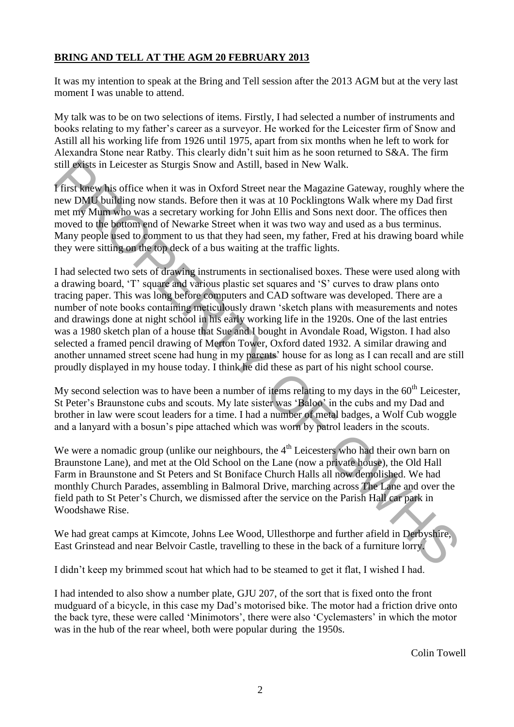#### **BRING AND TELL AT THE AGM 20 FEBRUARY 2013**

It was my intention to speak at the Bring and Tell session after the 2013 AGM but at the very last moment I was unable to attend.

My talk was to be on two selections of items. Firstly, I had selected a number of instruments and books relating to my father's career as a surveyor. He worked for the Leicester firm of Snow and Astill all his working life from 1926 until 1975, apart from six months when he left to work for Alexandra Stone near Ratby. This clearly didn't suit him as he soon returned to S&A. The firm still exists in Leicester as Sturgis Snow and Astill, based in New Walk.

I first knew his office when it was in Oxford Street near the Magazine Gateway, roughly where the new DMU building now stands. Before then it was at 10 Pocklingtons Walk where my Dad first met my Mum who was a secretary working for John Ellis and Sons next door. The offices then moved to the bottom end of Newarke Street when it was two way and used as a bus terminus. Many people used to comment to us that they had seen, my father, Fred at his drawing board while they were sitting on the top deck of a bus waiting at the traffic lights.

I had selected two sets of drawing instruments in sectionalised boxes. These were used along with a drawing board, 'T' square and various plastic set squares and 'S' curves to draw plans onto tracing paper. This was long before computers and CAD software was developed. There are a number of note books containing meticulously drawn 'sketch plans with measurements and notes and drawings done at night school in his early working life in the 1920s. One of the last entries was a 1980 sketch plan of a house that Sue and I bought in Avondale Road, Wigston. I had also selected a framed pencil drawing of Merton Tower, Oxford dated 1932. A similar drawing and another unnamed street scene had hung in my parents' house for as long as I can recall and are still proudly displayed in my house today. I think he did these as part of his night school course. still science in Ericcester as Sturgis Snow and Astill, based in New Walk.<br>
First these Way force when it was in Orford Street near the Magazine Gateway, roughly where the<br>
First theore whis office when it was in Orford St

My second selection was to have been a number of items relating to my days in the  $60<sup>th</sup>$  Leicester, St Peter's Braunstone cubs and scouts. My late sister was 'Baloo' in the cubs and my Dad and brother in law were scout leaders for a time. I had a number of metal badges, a Wolf Cub woggle and a lanyard with a bosun's pipe attached which was worn by patrol leaders in the scouts.

We were a nomadic group (unlike our neighbours, the  $4<sup>th</sup>$  Leicesters who had their own barn on Braunstone Lane), and met at the Old School on the Lane (now a private house), the Old Hall Farm in Braunstone and St Peters and St Boniface Church Halls all now demolished. We had monthly Church Parades, assembling in Balmoral Drive, marching across The Lane and over the field path to St Peter's Church, we dismissed after the service on the Parish Hall car park in Woodshawe Rise.

We had great camps at Kimcote, Johns Lee Wood, Ullesthorpe and further afield in Derbyshire, East Grinstead and near Belvoir Castle, travelling to these in the back of a furniture lorry.

I didn't keep my brimmed scout hat which had to be steamed to get it flat, I wished I had.

I had intended to also show a number plate, GJU 207, of the sort that is fixed onto the front mudguard of a bicycle, in this case my Dad's motorised bike. The motor had a friction drive onto the back tyre, these were called 'Minimotors', there were also 'Cyclemasters' in which the motor was in the hub of the rear wheel, both were popular during the 1950s.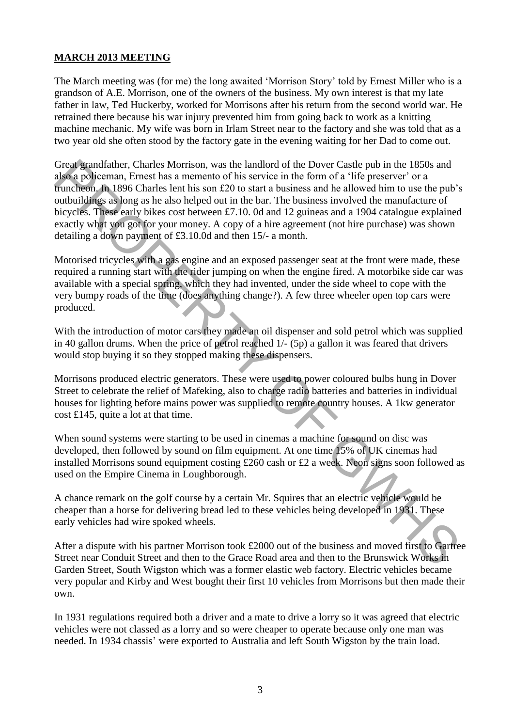#### **MARCH 2013 MEETING**

The March meeting was (for me) the long awaited 'Morrison Story' told by Ernest Miller who is a grandson of A.E. Morrison, one of the owners of the business. My own interest is that my late father in law, Ted Huckerby, worked for Morrisons after his return from the second world war. He retrained there because his war injury prevented him from going back to work as a knitting machine mechanic. My wife was born in Irlam Street near to the factory and she was told that as a two year old she often stood by the factory gate in the evening waiting for her Dad to come out.

Great grandfather, Charles Morrison, was the landlord of the Dover Castle pub in the 1850s and also a policeman, Ernest has a memento of his service in the form of a 'life preserver' or a truncheon. In 1896 Charles lent his son £20 to start a business and he allowed him to use the pub's outbuildings as long as he also helped out in the bar. The business involved the manufacture of bicycles. These early bikes cost between £7.10. 0d and 12 guineas and a 1904 catalogue explained exactly what you got for your money. A copy of a hire agreement (not hire purchase) was shown detailing a down payment of £3.10.0d and then 15/- a month. Great grandfalter. Charles Morrison, was the landlord of the Dover Castle pub in the 1850s and<br>disc apoliceman, Franst has a memento of his service in the form of a 'life preserver' or a<br>funcheson, in 1896 Charles lent hi

Motorised tricycles with a gas engine and an exposed passenger seat at the front were made, these required a running start with the rider jumping on when the engine fired. A motorbike side car was available with a special spring, which they had invented, under the side wheel to cope with the very bumpy roads of the time (does anything change?). A few three wheeler open top cars were produced.

With the introduction of motor cars they made an oil dispenser and sold petrol which was supplied in 40 gallon drums. When the price of petrol reached 1/- (5p) a gallon it was feared that drivers would stop buying it so they stopped making these dispensers.

Morrisons produced electric generators. These were used to power coloured bulbs hung in Dover Street to celebrate the relief of Mafeking, also to charge radio batteries and batteries in individual houses for lighting before mains power was supplied to remote country houses. A 1kw generator cost £145, quite a lot at that time.

When sound systems were starting to be used in cinemas a machine for sound on disc was developed, then followed by sound on film equipment. At one time 15% of UK cinemas had installed Morrisons sound equipment costing £260 cash or £2 a week. Neon signs soon followed as used on the Empire Cinema in Loughborough.

A chance remark on the golf course by a certain Mr. Squires that an electric vehicle would be cheaper than a horse for delivering bread led to these vehicles being developed in 1931. These early vehicles had wire spoked wheels.

After a dispute with his partner Morrison took £2000 out of the business and moved first to Gartree Street near Conduit Street and then to the Grace Road area and then to the Brunswick Works in Garden Street, South Wigston which was a former elastic web factory. Electric vehicles became very popular and Kirby and West bought their first 10 vehicles from Morrisons but then made their own.

In 1931 regulations required both a driver and a mate to drive a lorry so it was agreed that electric vehicles were not classed as a lorry and so were cheaper to operate because only one man was needed. In 1934 chassis' were exported to Australia and left South Wigston by the train load.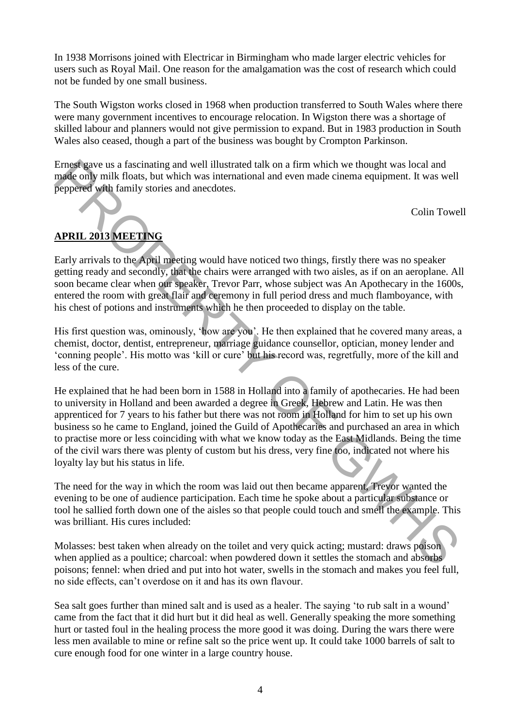In 1938 Morrisons joined with Electricar in Birmingham who made larger electric vehicles for users such as Royal Mail. One reason for the amalgamation was the cost of research which could not be funded by one small business.

The South Wigston works closed in 1968 when production transferred to South Wales where there were many government incentives to encourage relocation. In Wigston there was a shortage of skilled labour and planners would not give permission to expand. But in 1983 production in South Wales also ceased, though a part of the business was bought by Crompton Parkinson.

Ernest gave us a fascinating and well illustrated talk on a firm which we thought was local and made only milk floats, but which was international and even made cinema equipment. It was well peppered with family stories and anecdotes.

Colin Towell

#### **APRIL 2013 MEETING**

Early arrivals to the April meeting would have noticed two things, firstly there was no speaker getting ready and secondly, that the chairs were arranged with two aisles, as if on an aeroplane. All soon became clear when our speaker, Trevor Parr, whose subject was An Apothecary in the 1600s, entered the room with great flair and ceremony in full period dress and much flamboyance, with his chest of potions and instruments which he then proceeded to display on the table.

His first question was, ominously, 'how are you'. He then explained that he covered many areas, a chemist, doctor, dentist, entrepreneur, marriage guidance counsellor, optician, money lender and 'conning people'. His motto was 'kill or cure' but his record was, regretfully, more of the kill and less of the cure.

He explained that he had been born in 1588 in Holland into a family of apothecaries. He had been to university in Holland and been awarded a degree in Greek, Hebrew and Latin. He was then apprenticed for 7 years to his father but there was not room in Holland for him to set up his own business so he came to England, joined the Guild of Apothecaries and purchased an area in which to practise more or less coinciding with what we know today as the East Midlands. Being the time of the civil wars there was plenty of custom but his dress, very fine too, indicated not where his loyalty lay but his status in life. Ernot gave us a fascinating and well illustrated talk on a firm which we thought was local and<br>made only milk floats, but which was international and even made cinema equipment. It was well<br>peoplered with family stories a

The need for the way in which the room was laid out then became apparent, Trevor wanted the evening to be one of audience participation. Each time he spoke about a particular substance or tool he sallied forth down one of the aisles so that people could touch and smell the example. This was brilliant. His cures included:

Molasses: best taken when already on the toilet and very quick acting; mustard: draws poison when applied as a poultice; charcoal: when powdered down it settles the stomach and absorbs poisons; fennel: when dried and put into hot water, swells in the stomach and makes you feel full, no side effects, can't overdose on it and has its own flavour.

Sea salt goes further than mined salt and is used as a healer. The saying 'to rub salt in a wound' came from the fact that it did hurt but it did heal as well. Generally speaking the more something hurt or tasted foul in the healing process the more good it was doing. During the wars there were less men available to mine or refine salt so the price went up. It could take 1000 barrels of salt to cure enough food for one winter in a large country house.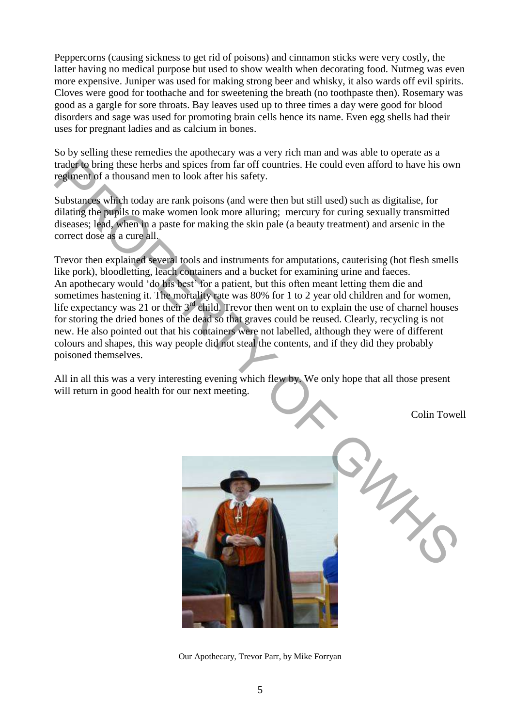Peppercorns (causing sickness to get rid of poisons) and cinnamon sticks were very costly, the latter having no medical purpose but used to show wealth when decorating food. Nutmeg was even more expensive. Juniper was used for making strong beer and whisky, it also wards off evil spirits. Cloves were good for toothache and for sweetening the breath (no toothpaste then). Rosemary was good as a gargle for sore throats. Bay leaves used up to three times a day were good for blood disorders and sage was used for promoting brain cells hence its name. Even egg shells had their uses for pregnant ladies and as calcium in bones.

So by selling these remedies the apothecary was a very rich man and was able to operate as a trader to bring these herbs and spices from far off countries. He could even afford to have his own regiment of a thousand men to look after his safety.

Substances which today are rank poisons (and were then but still used) such as digitalise, for dilating the pupils to make women look more alluring; mercury for curing sexually transmitted diseases; lead, when in a paste for making the skin pale (a beauty treatment) and arsenic in the correct dose as a cure all.

Trevor then explained several tools and instruments for amputations, cauterising (hot flesh smells like pork), bloodletting, leach containers and a bucket for examining urine and faeces. An apothecary would 'do his best' for a patient, but this often meant letting them die and sometimes hastening it. The mortality rate was 80% for 1 to 2 year old children and for women, life expectancy was 21 or their 3<sup>rd</sup> child. Trevor then went on to explain the use of charnel houses for storing the dried bones of the dead so that graves could be reused. Clearly, recycling is not new. He also pointed out that his containers were not labelled, although they were of different colours and shapes, this way people did not steal the contents, and if they did they probably poisoned themselves. trader to bring these herbs and spices from far off countries. He could even afford to have his own regiment of a thousand men to look after his safery.<br>Substangle, which today are rank poisons (and were then but still use

All in all this was a very interesting evening which flew by. We only hope that all those present will return in good health for our next meeting.

Colin Towell



Our Apothecary, Trevor Parr, by Mike Forryan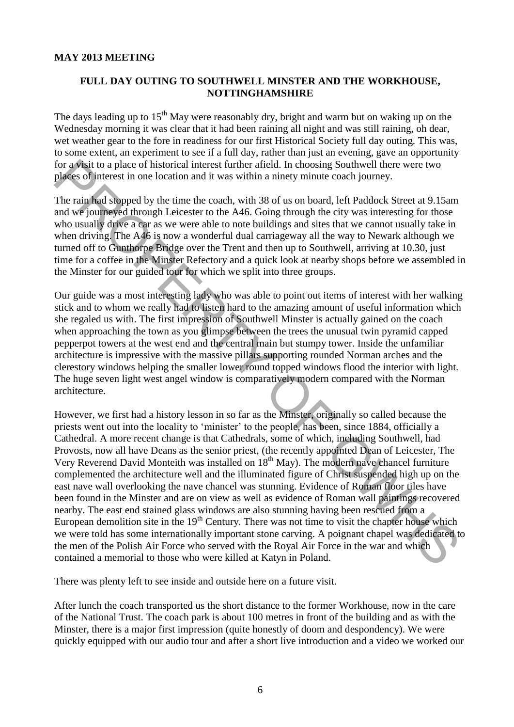#### **FULL DAY OUTING TO SOUTHWELL MINSTER AND THE WORKHOUSE, NOTTINGHAMSHIRE**

The days leading up to  $15<sup>th</sup>$  May were reasonably dry, bright and warm but on waking up on the Wednesday morning it was clear that it had been raining all night and was still raining, oh dear, wet weather gear to the fore in readiness for our first Historical Society full day outing. This was, to some extent, an experiment to see if a full day, rather than just an evening, gave an opportunity for a visit to a place of historical interest further afield. In choosing Southwell there were two places of interest in one location and it was within a ninety minute coach journey.

The rain had stopped by the time the coach, with 38 of us on board, left Paddock Street at 9.15am and we journeyed through Leicester to the A46. Going through the city was interesting for those who usually drive a car as we were able to note buildings and sites that we cannot usually take in when driving. The A46 is now a wonderful dual carriageway all the way to Newark although we turned off to Gunthorpe Bridge over the Trent and then up to Southwell, arriving at 10.30, just time for a coffee in the Minster Refectory and a quick look at nearby shops before we assembled in the Minster for our guided tour for which we split into three groups.

Our guide was a most interesting lady who was able to point out items of interest with her walking stick and to whom we really had to listen hard to the amazing amount of useful information which she regaled us with. The first impression of Southwell Minster is actually gained on the coach when approaching the town as you glimpse between the trees the unusual twin pyramid capped pepperpot towers at the west end and the central main but stumpy tower. Inside the unfamiliar architecture is impressive with the massive pillars supporting rounded Norman arches and the clerestory windows helping the smaller lower round topped windows flood the interior with light. The huge seven light west angel window is comparatively modern compared with the Norman architecture.

However, we first had a history lesson in so far as the Minster, originally so called because the priests went out into the locality to 'minister' to the people, has been, since 1884, officially a Cathedral. A more recent change is that Cathedrals, some of which, including Southwell, had Provosts, now all have Deans as the senior priest, (the recently appointed Dean of Leicester, The Very Reverend David Monteith was installed on  $18<sup>th</sup>$  May). The modern nave chancel furniture complemented the architecture well and the illuminated figure of Christ suspended high up on the east nave wall overlooking the nave chancel was stunning. Evidence of Roman floor tiles have been found in the Minster and are on view as well as evidence of Roman wall paintings recovered nearby. The east end stained glass windows are also stunning having been rescued from a European demolition site in the 19<sup>th</sup> Century. There was not time to visit the chapter house which we were told has some internationally important stone carving. A poignant chapel was dedicated to the men of the Polish Air Force who served with the Royal Air Force in the war and which contained a memorial to those who were killed at Katyn in Poland. for a visit to a place of listorical interest funder. In choosing Southwell there were two places of merest in one location and it was within a ninery minute cach journey.<br>The rain fad shapeed by the time the cach, with 8

There was plenty left to see inside and outside here on a future visit.

After lunch the coach transported us the short distance to the former Workhouse, now in the care of the National Trust. The coach park is about 100 metres in front of the building and as with the Minster, there is a major first impression (quite honestly of doom and despondency). We were quickly equipped with our audio tour and after a short live introduction and a video we worked our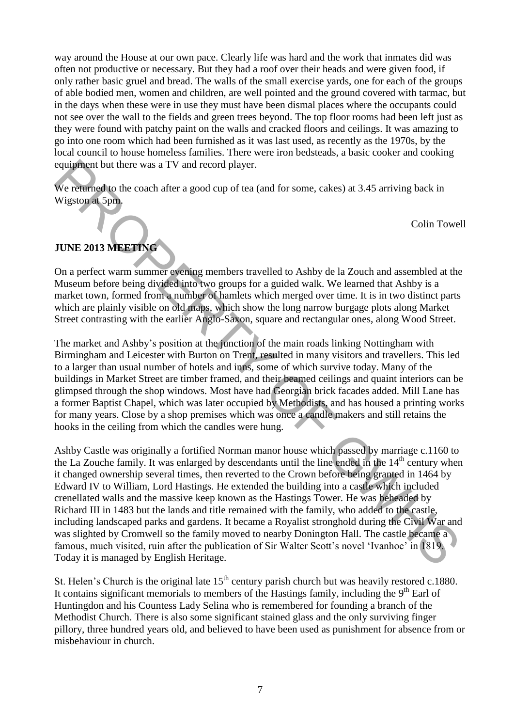way around the House at our own pace. Clearly life was hard and the work that inmates did was often not productive or necessary. But they had a roof over their heads and were given food, if only rather basic gruel and bread. The walls of the small exercise yards, one for each of the groups of able bodied men, women and children, are well pointed and the ground covered with tarmac, but in the days when these were in use they must have been dismal places where the occupants could not see over the wall to the fields and green trees beyond. The top floor rooms had been left just as they were found with patchy paint on the walls and cracked floors and ceilings. It was amazing to go into one room which had been furnished as it was last used, as recently as the 1970s, by the local council to house homeless families. There were iron bedsteads, a basic cooker and cooking equipment but there was a TV and record player.

We returned to the coach after a good cup of tea (and for some, cakes) at 3.45 arriving back in Wigston at 5pm.

Colin Towell

#### **JUNE 2013 MEETING**

On a perfect warm summer evening members travelled to Ashby de la Zouch and assembled at the Museum before being divided into two groups for a guided walk. We learned that Ashby is a market town, formed from a number of hamlets which merged over time. It is in two distinct parts which are plainly visible on old maps, which show the long narrow burgage plots along Market Street contrasting with the earlier Anglo-Saxon, square and rectangular ones, along Wood Street.

The market and Ashby's position at the junction of the main roads linking Nottingham with Birmingham and Leicester with Burton on Trent, resulted in many visitors and travellers. This led to a larger than usual number of hotels and inns, some of which survive today. Many of the buildings in Market Street are timber framed, and their beamed ceilings and quaint interiors can be glimpsed through the shop windows. Most have had Georgian brick facades added. Mill Lane has a former Baptist Chapel, which was later occupied by Methodists, and has housed a printing works for many years. Close by a shop premises which was once a candle makers and still retains the hooks in the ceiling from which the candles were hung.

Ashby Castle was originally a fortified Norman manor house which passed by marriage c.1160 to the La Zouche family. It was enlarged by descendants until the line ended in the  $14<sup>th</sup>$  century when it changed ownership several times, then reverted to the Crown before being granted in 1464 by Edward IV to William, Lord Hastings. He extended the building into a castle which included crenellated walls and the massive keep known as the Hastings Tower. He was beheaded by Richard III in 1483 but the lands and title remained with the family, who added to the castle, including landscaped parks and gardens. It became a Royalist stronghold during the Civil War and was slighted by Cromwell so the family moved to nearby Donington Hall. The castle became a famous, much visited, ruin after the publication of Sir Walter Scott's novel 'Ivanhoe' in 1819. Today it is managed by English Heritage. equipment but there was a TV and record player.<br>We returned to the coach after a good cup of tea (and for some, cakes) at 3.45 arriving back in<br>Wigston at Spm.<br>Colin Towel<br>COME 2013 MEETING<br>COME 2013 MEETING<br>COME 2013 MEET

St. Helen's Church is the original late  $15<sup>th</sup>$  century parish church but was heavily restored c.1880. It contains significant memorials to members of the Hastings family, including the  $9<sup>th</sup>$  Earl of Huntingdon and his Countess Lady Selina who is remembered for founding a branch of the Methodist Church. There is also some significant stained glass and the only surviving finger pillory, three hundred years old, and believed to have been used as punishment for absence from or misbehaviour in church.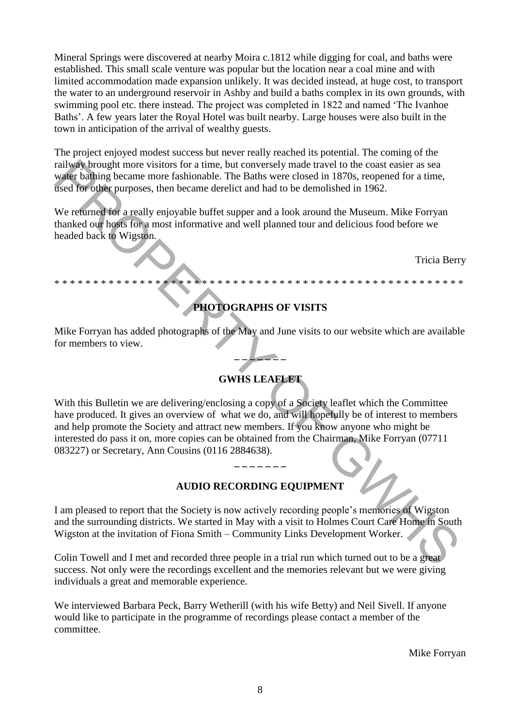Mineral Springs were discovered at nearby Moira c.1812 while digging for coal, and baths were established. This small scale venture was popular but the location near a coal mine and with limited accommodation made expansion unlikely. It was decided instead, at huge cost, to transport the water to an underground reservoir in Ashby and build a baths complex in its own grounds, with swimming pool etc. there instead. The project was completed in 1822 and named 'The Ivanhoe Baths'. A few years later the Royal Hotel was built nearby. Large houses were also built in the town in anticipation of the arrival of wealthy guests.

The project enjoyed modest success but never really reached its potential. The coming of the railway brought more visitors for a time, but conversely made travel to the coast easier as sea water bathing became more fashionable. The Baths were closed in 1870s, reopened for a time, used for other purposes, then became derelict and had to be demolished in 1962.

We returned for a really enjoyable buffet supper and a look around the Museum. Mike Forryan thanked our hosts for a most informative and well planned tour and delicious food before we headed back to Wigston.

Tricia Berry

### **PHOTOGRAPHS OF VISITS**

\* \* \* \* \* \* \* \* \* \* \* \* \* \* \* \* \* \* \* \* \* \* \* \* \* \* \* \* \* \* \* \* \* \* \* \* \* \* \* \* \* \* \* \* \* \* \* \* \* \* \* \* \*

Mike Forryan has added photographs of the May and June visits to our website which are available for members to view.

**\_ \_ \_ \_ \_ \_ \_**

### **GWHS LEAFLET**

With this Bulletin we are delivering/enclosing a copy of a Society leaflet which the Committee have produced. It gives an overview of what we do, and will hopefully be of interest to members and help promote the Society and attract new members. If you know anyone who might be interested do pass it on, more copies can be obtained from the Chairman, Mike Forryan (07711 083227) or Secretary, Ann Cousins (0116 2884638). maligns brought more visitors for a time, but conversely made travel to the coast casine<br>and the pharma pharmamental many terms of the state of the state of the state of the state of the state of the state of the state of

#### **AUDIO RECORDING EQUIPMENT**

**\_ \_ \_ \_ \_ \_ \_** 

I am pleased to report that the Society is now actively recording people's memories of Wigston and the surrounding districts. We started in May with a visit to Holmes Court Care Home in South Wigston at the invitation of Fiona Smith – Community Links Development Worker.

Colin Towell and I met and recorded three people in a trial run which turned out to be a great success. Not only were the recordings excellent and the memories relevant but we were giving individuals a great and memorable experience.

We interviewed Barbara Peck, Barry Wetherill (with his wife Betty) and Neil Sivell. If anyone would like to participate in the programme of recordings please contact a member of the committee.

Mike Forryan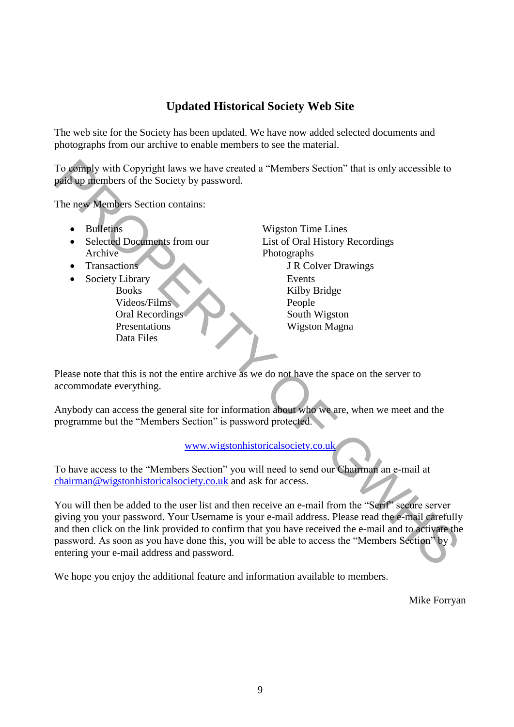### **Updated Historical Society Web Site**

The web site for the Society has been updated. We have now added selected documents and photographs from our archive to enable members to see the material.

To comply with Copyright laws we have created a "Members Section" that is only accessible to paid up members of the Society by password.

The new Members Section contains:

- 
- Selected Documents from our List of Oral History Recordings Archive Photographs
- 
- Society Library Events Videos/Films People Data Files

• Bulletins Wigston Time Lines • Transactions J R Colver Drawings Books Kilby Bridge Oral Recordings South Wigston Presentations Wigston Magna

Please note that this is not the entire archive as we do not have the space on the server to accommodate everything.

Anybody can access the general site for information about who we are, when we meet and the programme but the "Members Section" is password protected.

www.wigstonhistoricalsociety.co.uk

To have access to the "Members Section" you will need to send our Chairman an e-mail at chairman@wigstonhistoricalsociety.co.uk and ask for access.

You will then be added to the user list and then receive an e-mail from the "Serif" secure server giving you your password. Your Username is your e-mail address. Please read the e-mail carefully and then click on the link provided to confirm that you have received the e-mail and to activate the password. As soon as you have done this, you will be able to access the "Members Section" by entering your e-mail address and password. To somply with Copyright laws we have created a "Members Section" that is only accessible to<br>
The new Members of the Society by password.<br>
The new Members Section contains:<br>  $\bullet$  Bullettiss<br>  $\bullet$  Selected Dogunal Storm ou

We hope you enjoy the additional feature and information available to members.

Mike Forryan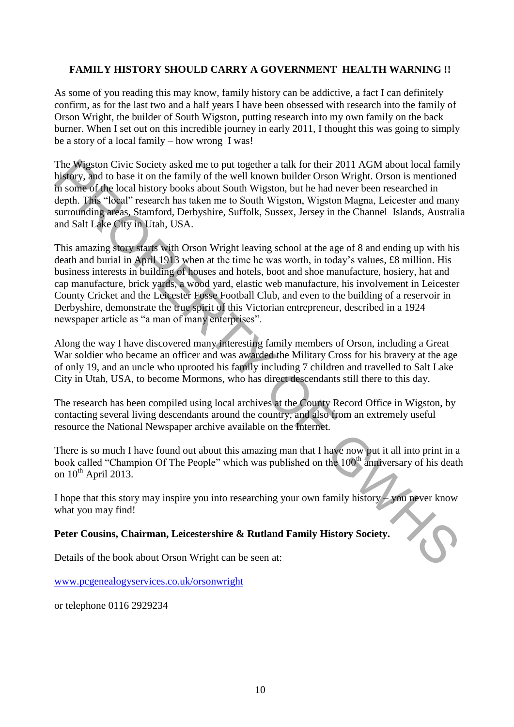#### **FAMILY HISTORY SHOULD CARRY A GOVERNMENT HEALTH WARNING !!**

As some of you reading this may know, family history can be addictive, a fact I can definitely confirm, as for the last two and a half years I have been obsessed with research into the family of Orson Wright, the builder of South Wigston, putting research into my own family on the back burner. When I set out on this incredible journey in early 2011, I thought this was going to simply be a story of a local family – how wrong I was!

The Wigston Civic Society asked me to put together a talk for their 2011 AGM about local family history, and to base it on the family of the well known builder Orson Wright. Orson is mentioned in some of the local history books about South Wigston, but he had never been researched in depth. This "local" research has taken me to South Wigston, Wigston Magna, Leicester and many surrounding areas, Stamford, Derbyshire, Suffolk, Sussex, Jersey in the Channel Islands, Australia and Salt Lake City in Utah, USA.

This amazing story starts with Orson Wright leaving school at the age of 8 and ending up with his death and burial in April 1913 when at the time he was worth, in today's values, £8 million. His business interests in building of houses and hotels, boot and shoe manufacture, hosiery, hat and cap manufacture, brick yards, a wood yard, elastic web manufacture, his involvement in Leicester County Cricket and the Leicester Fosse Football Club, and even to the building of a reservoir in Derbyshire, demonstrate the true spirit of this Victorian entrepreneur, described in a 1924 newspaper article as "a man of many enterprises". The Westfor Civic Society asked me to put together a tlik for their 2011 AGM about tocal family<br>Thistopy, and to hase it on the family of the well known huider Orson Wright. Orson is mentioned<br>In some of the local history

Along the way I have discovered many interesting family members of Orson, including a Great War soldier who became an officer and was awarded the Military Cross for his bravery at the age of only 19, and an uncle who uprooted his family including 7 children and travelled to Salt Lake City in Utah, USA, to become Mormons, who has direct descendants still there to this day.

The research has been compiled using local archives at the County Record Office in Wigston, by contacting several living descendants around the country, and also from an extremely useful resource the National Newspaper archive available on the Internet.

There is so much I have found out about this amazing man that I have now put it all into print in a book called "Champion Of The People" which was published on the 100<sup>th</sup> anniversary of his death on  $10^{th}$  April 2013.

I hope that this story may inspire you into researching your own family history – you never know what you may find!

#### **Peter Cousins, Chairman, Leicestershire & Rutland Family History Society.**

Details of the book about Orson Wright can be seen at:

[www.pcgenealogyservices.co.uk/orsonwright](http://www.pcgenealogyservices.co.uk/orsonwright)

or telephone 0116 2929234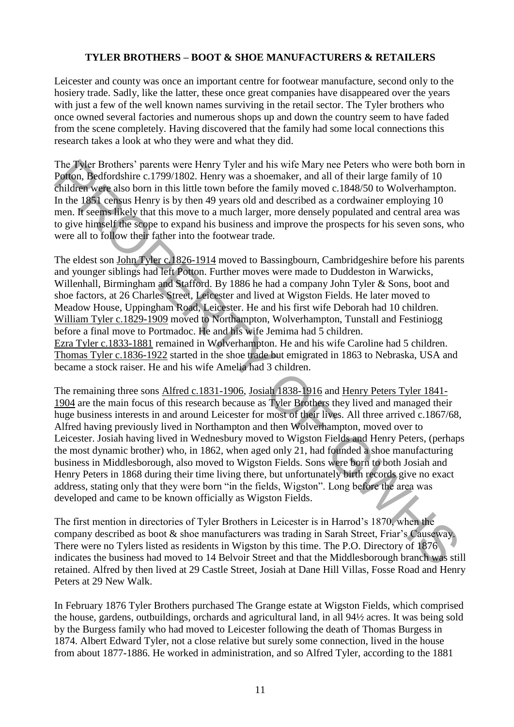#### **TYLER BROTHERS – BOOT & SHOE MANUFACTURERS & RETAILERS**

Leicester and county was once an important centre for footwear manufacture, second only to the hosiery trade. Sadly, like the latter, these once great companies have disappeared over the years with just a few of the well known names surviving in the retail sector. The Tyler brothers who once owned several factories and numerous shops up and down the country seem to have faded from the scene completely. Having discovered that the family had some local connections this research takes a look at who they were and what they did.

The Tyler Brothers' parents were Henry Tyler and his wife Mary nee Peters who were both born in Potton, Bedfordshire c.1799/1802. Henry was a shoemaker, and all of their large family of 10 children were also born in this little town before the family moved c.1848/50 to Wolverhampton. In the 1851 census Henry is by then 49 years old and described as a cordwainer employing 10 men. It seems likely that this move to a much larger, more densely populated and central area was to give himself the scope to expand his business and improve the prospects for his seven sons, who were all to follow their father into the footwear trade.

The eldest son John Tyler c.1826-1914 moved to Bassingbourn, Cambridgeshire before his parents and younger siblings had left Potton. Further moves were made to Duddeston in Warwicks, Willenhall, Birmingham and Stafford. By 1886 he had a company John Tyler & Sons, boot and shoe factors, at 26 Charles Street, Leicester and lived at Wigston Fields. He later moved to Meadow House, Uppingham Road, Leicester. He and his first wife Deborah had 10 children. William Tyler c.1829-1909 moved to Northampton, Wolverhampton, Tunstall and Festiniogg before a final move to Portmadoc. He and his wife Jemima had 5 children. Ezra Tyler c.1833-1881 remained in Wolverhampton. He and his wife Caroline had 5 children. Thomas Tyler c.1836-1922 started in the shoe trade but emigrated in 1863 to Nebraska, USA and became a stock raiser. He and his wife Amelia had 3 children. The Tyler Brothers' parents were Henry Tyler and his wife Mary ne Peters who were both born in<br>Figure Brothers' parameters was a shoemaker, and all of their targe for where both born<br>children work also hom in this little

The remaining three sons Alfred c.1831-1906, Josiah 1838-1916 and Henry Peters Tyler 1841-1904 are the main focus of this research because as Tyler Brothers they lived and managed their huge business interests in and around Leicester for most of their lives. All three arrived c.1867/68, Alfred having previously lived in Northampton and then Wolverhampton, moved over to Leicester. Josiah having lived in Wednesbury moved to Wigston Fields and Henry Peters, (perhaps the most dynamic brother) who, in 1862, when aged only 21, had founded a shoe manufacturing business in Middlesborough, also moved to Wigston Fields. Sons were born to both Josiah and Henry Peters in 1868 during their time living there, but unfortunately birth records give no exact address, stating only that they were born "in the fields, Wigston". Long before the area was developed and came to be known officially as Wigston Fields.

The first mention in directories of Tyler Brothers in Leicester is in Harrod's 1870, when the company described as boot & shoe manufacturers was trading in Sarah Street, Friar's Causeway. There were no Tylers listed as residents in Wigston by this time. The P.O. Directory of 1876 indicates the business had moved to 14 Belvoir Street and that the Middlesborough branch was still retained. Alfred by then lived at 29 Castle Street, Josiah at Dane Hill Villas, Fosse Road and Henry Peters at 29 New Walk.

In February 1876 Tyler Brothers purchased The Grange estate at Wigston Fields, which comprised the house, gardens, outbuildings, orchards and agricultural land, in all 94½ acres. It was being sold by the Burgess family who had moved to Leicester following the death of Thomas Burgess in 1874. Albert Edward Tyler, not a close relative but surely some connection, lived in the house from about 1877-1886. He worked in administration, and so Alfred Tyler, according to the 1881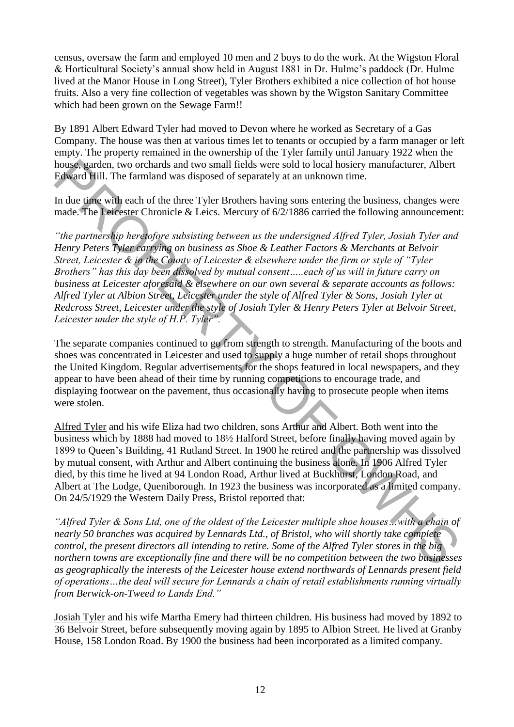census, oversaw the farm and employed 10 men and 2 boys to do the work. At the Wigston Floral & Horticultural Society's annual show held in August 1881 in Dr. Hulme's paddock (Dr. Hulme lived at the Manor House in Long Street), Tyler Brothers exhibited a nice collection of hot house fruits. Also a very fine collection of vegetables was shown by the Wigston Sanitary Committee which had been grown on the Sewage Farm!!

By 1891 Albert Edward Tyler had moved to Devon where he worked as Secretary of a Gas Company. The house was then at various times let to tenants or occupied by a farm manager or left empty. The property remained in the ownership of the Tyler family until January 1922 when the house, garden, two orchards and two small fields were sold to local hosiery manufacturer, Albert Edward Hill. The farmland was disposed of separately at an unknown time.

In due time with each of the three Tyler Brothers having sons entering the business, changes were made. The Leicester Chronicle & Leics. Mercury of 6/2/1886 carried the following announcement:

*"the partnership heretofore subsisting between us the undersigned Alfred Tyler, Josiah Tyler and Henry Peters Tyler carrying on business as Shoe & Leather Factors & Merchants at Belvoir Street, Leicester & in the County of Leicester & elsewhere under the firm or style of "Tyler Brothers" has this day been dissolved by mutual consent…..each of us will in future carry on business at Leicester aforesaid & elsewhere on our own several & separate accounts as follows: Alfred Tyler at Albion Street, Leicester under the style of Alfred Tyler & Sons, Josiah Tyler at Redcross Street, Leicester under the style of Josiah Tyler & Henry Peters Tyler at Belvoir Street, Leicester under the style of H.P. Tyler".* house, garden, two orchards and we o small fields were sold to local hostery manufacturer, Albert Baking and the street and the street and the street and the street and the street and the street and the street of the meth

The separate companies continued to go from strength to strength. Manufacturing of the boots and shoes was concentrated in Leicester and used to supply a huge number of retail shops throughout the United Kingdom. Regular advertisements for the shops featured in local newspapers, and they appear to have been ahead of their time by running competitions to encourage trade, and displaying footwear on the pavement, thus occasionally having to prosecute people when items were stolen.

Alfred Tyler and his wife Eliza had two children, sons Arthur and Albert. Both went into the business which by 1888 had moved to 18½ Halford Street, before finally having moved again by 1899 to Queen's Building, 41 Rutland Street. In 1900 he retired and the partnership was dissolved by mutual consent, with Arthur and Albert continuing the business alone. In 1906 Alfred Tyler died, by this time he lived at 94 London Road, Arthur lived at Buckhurst, London Road, and Albert at The Lodge, Queniborough. In 1923 the business was incorporated as a limited company. On 24/5/1929 the Western Daily Press, Bristol reported that:

*"Alfred Tyler & Sons Ltd, one of the oldest of the Leicester multiple shoe houses…with a chain of nearly 50 branches was acquired by Lennards Ltd., of Bristol, who will shortly take complete control, the present directors all intending to retire. Some of the Alfred Tyler stores in the big northern towns are exceptionally fine and there will be no competition between the two businesses as geographically the interests of the Leicester house extend northwards of Lennards present field of operations…the deal will secure for Lennards a chain of retail establishments running virtually from Berwick-on-Tweed to Lands End."*

Josiah Tyler and his wife Martha Emery had thirteen children. His business had moved by 1892 to 36 Belvoir Street, before subsequently moving again by 1895 to Albion Street. He lived at Granby House, 158 London Road. By 1900 the business had been incorporated as a limited company.